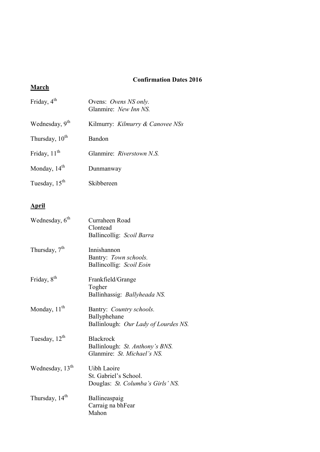## **Confirmation Dates 2016**

## **March**

| Friday, $4th$              | Ovens: Ovens NS only.<br>Glanmire: New Inn NS. |
|----------------------------|------------------------------------------------|
| Wednesday, 9 <sup>th</sup> | Kilmurry: <i>Kilmurry &amp; Canovee NSs</i>    |
| Thursday, 10 <sup>th</sup> | Bandon                                         |
| Friday, $11th$             | Glanmire: Riverstown N.S.                      |
| Monday, $14th$             | Dunmanway                                      |
| Tuesday, $15th$            | Skibbereen                                     |

## **April**

| Wednesday, 6 <sup>th</sup>  | Curraheen Road<br>Clontead<br>Ballincollig: Scoil Barra                            |
|-----------------------------|------------------------------------------------------------------------------------|
| Thursday, $7th$             | Innishannon<br>Bantry: Town schools.<br>Ballincollig: Scoil Eoin                   |
| Friday, 8 <sup>th</sup>     | Frankfield/Grange<br>Togher<br>Ballinhassig: Ballyheada NS.                        |
| Monday, 11 <sup>th</sup>    | Bantry: Country schools.<br>Ballyphehane<br>Ballinlough: Our Lady of Lourdes NS.   |
| Tuesday, 12 <sup>th</sup>   | <b>Blackrock</b><br>Ballinlough: St. Anthony's BNS.<br>Glanmire: St. Michael's NS. |
| Wednesday, 13 <sup>th</sup> | Uibh Laoire<br>St. Gabriel's School.<br>Douglas: St. Columba's Girls' NS.          |
| Thursday, 14 <sup>th</sup>  | Ballineaspaig<br>Carraig na bhFear<br>Mahon                                        |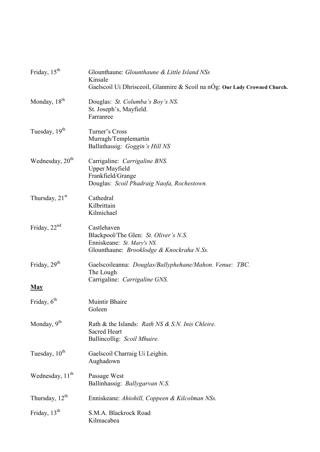| Friday, 15 <sup>th</sup>    | Glounthaune: Glounthaune & Little Island NSs<br>Kinsale<br>Gaelscoil Ui Dhrisceoil, Glanmire & Scoil na nÓg: Our Lady Crowned Church.      |
|-----------------------------|--------------------------------------------------------------------------------------------------------------------------------------------|
| Monday, 18 <sup>th</sup>    | Douglas: St. Columba's Boy's NS.<br>St. Joseph's, Mayfield.<br>Farranree                                                                   |
| Tuesday, 19 <sup>th</sup>   | Turner's Cross<br>Murragh/Templemartin<br>Ballinhassig: Goggin's Hill NS                                                                   |
| Wednesday, 20 <sup>th</sup> | Carrigaline: Carrigaline BNS.<br><b>Upper Mayfield</b><br>Frankfield/Grange<br>Douglas: Scoil Phadraig Naofa, Rochestown.                  |
| Thursday, $21st$            | Cathedral<br>Kilbrittain<br>Kilmichael                                                                                                     |
| Friday, $22nd$              | Castlehaven<br>Blackpool/The Glen: St. Oliver's N.S.<br>Enniskeane: St. Mary's NS.<br>Glounthaune: <i>Brooklodge &amp; Knockraha N.Ss.</i> |
| Friday, $29th$              | Gaelscoileanna: Douglas/Ballyphehane/Mahon. Venue: TBC.<br>The Lough<br>Carrigaline: Carrigaline GNS.                                      |
| <b>May</b>                  |                                                                                                                                            |
| Friday, $6th$               | <b>Muintir Bhaire</b><br>Goleen                                                                                                            |
| Monday, 9 <sup>th</sup>     | Rath & the Islands: Rath NS & S.N. Inis Chleire.<br><b>Sacred Heart</b><br>Ballincollig: Scoil Mhuire.                                     |
| Tuesday, 10 <sup>th</sup>   | Gaelscoil Charraig Ui Leighin.<br>Aughadown                                                                                                |
| Wednesday, 11 <sup>th</sup> | Passage West<br>Ballinhassig: Ballygarvan N.S.                                                                                             |
| Thursday, 12 <sup>th</sup>  | Enniskeane: Ahiohill, Coppeen & Kilcolman NSs.                                                                                             |
| Friday, 13 <sup>th</sup>    | S.M.A. Blackrock Road<br>Kilmacabea                                                                                                        |